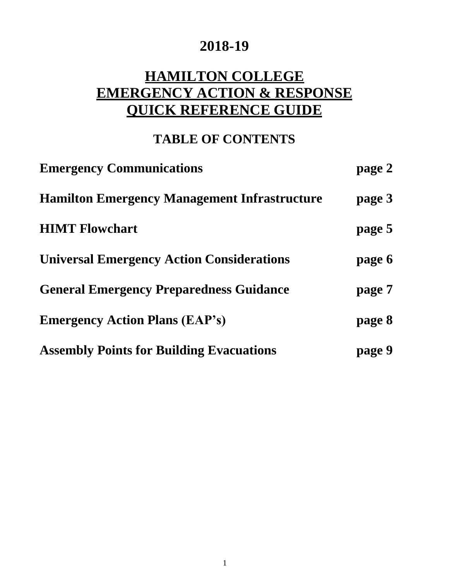## **2018-19**

# **HAMILTON COLLEGE EMERGENCY ACTION & RESPONSE QUICK REFERENCE GUIDE**

## **TABLE OF CONTENTS**

| <b>Emergency Communications</b>                     | page 2 |
|-----------------------------------------------------|--------|
| <b>Hamilton Emergency Management Infrastructure</b> | page 3 |
| <b>HIMT Flowchart</b>                               | page 5 |
| <b>Universal Emergency Action Considerations</b>    | page 6 |
| <b>General Emergency Preparedness Guidance</b>      | page 7 |
| <b>Emergency Action Plans (EAP's)</b>               | page 8 |
| <b>Assembly Points for Building Evacuations</b>     | page 9 |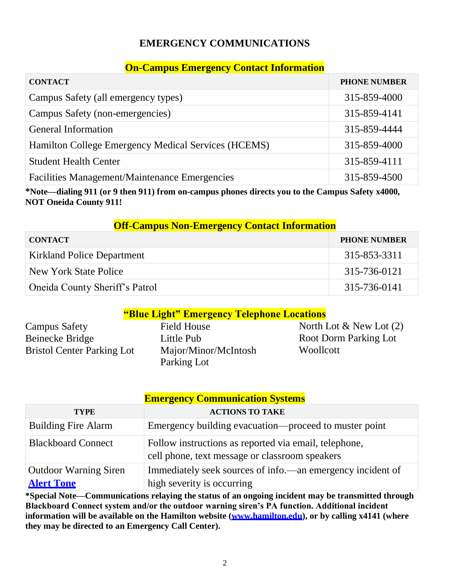#### **EMERGENCY COMMUNICATIONS**

#### **On-Campus Emergency Contact Information**

| <b>CONTACT</b>                                      | <b>PHONE NUMBER</b> |
|-----------------------------------------------------|---------------------|
| Campus Safety (all emergency types)                 | 315-859-4000        |
| Campus Safety (non-emergencies)                     | 315-859-4141        |
| <b>General Information</b>                          | 315-859-4444        |
| Hamilton College Emergency Medical Services (HCEMS) | 315-859-4000        |
| <b>Student Health Center</b>                        | 315-859-4111        |
| Facilities Management/Maintenance Emergencies       | 315-859-4500        |

**\*Note—dialing 911 (or 9 then 911) from on-campus phones directs you to the Campus Safety x4000, NOT Oneida County 911!**

#### **Off-Campus Non-Emergency Contact Information**

| <b>CONTACT</b>                    | <b>PHONE NUMBER</b> |
|-----------------------------------|---------------------|
| <b>Kirkland Police Department</b> | 315-853-3311        |
| New York State Police             | 315-736-0121        |
| Oneida County Sheriff's Patrol    | 315-736-0141        |

#### **"Blue Light" Emergency Telephone Locations**

| <b>Campus Safety</b>              | <b>Field House</b>   | North       |
|-----------------------------------|----------------------|-------------|
| Beinecke Bridge                   | Little Pub           | Root:       |
| <b>Bristol Center Parking Lot</b> | Major/Minor/McIntosh | <b>Wool</b> |
|                                   | Parking Lot          |             |

Lot  $\&$  New Lot (2) Dorm Parking Lot lcott

| <b>Emergency Communication Systems</b> |                                                                                                         |  |
|----------------------------------------|---------------------------------------------------------------------------------------------------------|--|
| <b>TYPE</b>                            | <b>ACTIONS TO TAKE</b>                                                                                  |  |
| <b>Building Fire Alarm</b>             | Emergency building evacuation—proceed to muster point                                                   |  |
| <b>Blackboard Connect</b>              | Follow instructions as reported via email, telephone,<br>cell phone, text message or classroom speakers |  |
| <b>Outdoor Warning Siren</b>           | Immediately seek sources of info.—an emergency incident of                                              |  |
| <b>Alert Tone</b>                      | high severity is occurring                                                                              |  |

**\*Special Note—Communications relaying the status of an ongoing incident may be transmitted through Blackboard Connect system and/or the outdoor warning siren's PA function. Additional incident information will be available on the Hamilton website [\(www.hamilton.edu\)](http://www.hamilton.edu/), or by calling x4141 (where they may be directed to an Emergency Call Center).**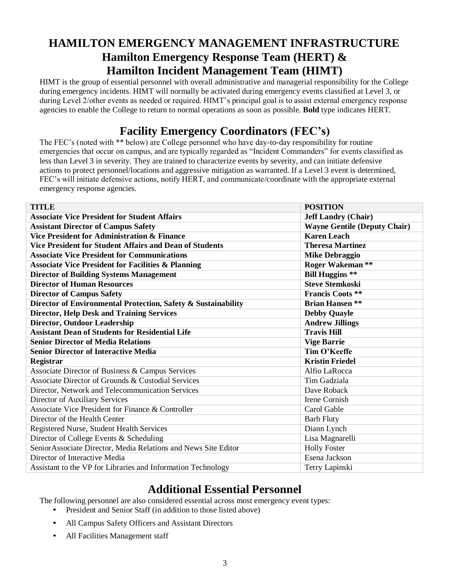## **HAMILTON EMERGENCY MANAGEMENT INFRASTRUCTURE Hamilton Emergency Response Team (HERT) & Hamilton Incident Management Team (HIMT)**

HIMT is the group of essential personnel with overall administrative and managerial responsibility for the College during emergency incidents. HIMT will normally be activated during emergency events classified at Level 3, or during Level 2/other events as needed or required. HIMT's principal goal is to assist external emergency response agencies to enable the College to return to normal operations as soon as possible. **Bold** type indicates HERT.

## **Facility Emergency Coordinators (FEC's)**

The FEC's (noted with \*\* below) are College personnel who have day-to-day responsibility for routine emergencies that occur on campus, and are typically regarded as "Incident Commanders" for events classified as less than Level 3 in severity. They are trained to characterize events by severity, and can initiate defensive actions to protect personnel/locations and aggressive mitigation as warranted. If a Level 3 event is determined, FEC's will initiate defensive actions, notify HERT, and communicate/coordinate with the appropriate external emergency response agencies.

| <b>TITLE</b>                                                    | <b>POSITION</b>                     |
|-----------------------------------------------------------------|-------------------------------------|
| <b>Associate Vice President for Student Affairs</b>             | <b>Jeff Landry (Chair)</b>          |
| <b>Assistant Director of Campus Safety</b>                      | <b>Wayne Gentile (Deputy Chair)</b> |
| <b>Vice President for Administration &amp; Finance</b>          | <b>Karen Leach</b>                  |
| <b>Vice President for Student Affairs and Dean of Students</b>  | <b>Theresa Martinez</b>             |
| <b>Associate Vice President for Communications</b>              | <b>Mike Debraggio</b>               |
| <b>Associate Vice President for Facilities &amp; Planning</b>   | <b>Roger Wakeman **</b>             |
| <b>Director of Building Systems Management</b>                  | <b>Bill Huggins</b> **              |
| <b>Director of Human Resources</b>                              | <b>Steve Stemkoski</b>              |
| <b>Director of Campus Safety</b>                                | <b>Francis Coots **</b>             |
| Director of Environmental Protection, Safety & Sustainability   | <b>Brian Hansen **</b>              |
| <b>Director, Help Desk and Training Services</b>                | <b>Debby Quayle</b>                 |
| <b>Director, Outdoor Leadership</b>                             | <b>Andrew Jillings</b>              |
| <b>Assistant Dean of Students for Residential Life</b>          | <b>Travis Hill</b>                  |
| <b>Senior Director of Media Relations</b>                       | <b>Vige Barrie</b>                  |
| <b>Senior Director of Interactive Media</b>                     | Tim O'Keeffe                        |
| <b>Registrar</b>                                                | <b>Kristin Friedel</b>              |
| Associate Director of Business & Campus Services                | Alfio LaRocca                       |
| Associate Director of Grounds & Custodial Services              | Tim Gadziala                        |
| Director, Network and Telecommunication Services                | Dave Roback                         |
| Director of Auxiliary Services                                  | Irene Cornish                       |
| Associate Vice President for Finance & Controller               | Carol Gable                         |
| Director of the Health Center                                   | <b>Barb Fluty</b>                   |
| Registered Nurse, Student Health Services                       | Diann Lynch                         |
| Director of College Events & Scheduling                         | Lisa Magnarelli                     |
| Senior Associate Director, Media Relations and News Site Editor | <b>Holly Foster</b>                 |
| Director of Interactive Media                                   | Esena Jackson                       |
| Assistant to the VP for Libraries and Information Technology    | Terry Lapinski                      |

#### **Additional Essential Personnel**

The following personnel are also considered essential across most emergency event types:

- President and Senior Staff (in addition to those listed above)
- All Campus Safety Officers and Assistant Directors
- All Facilities Management staff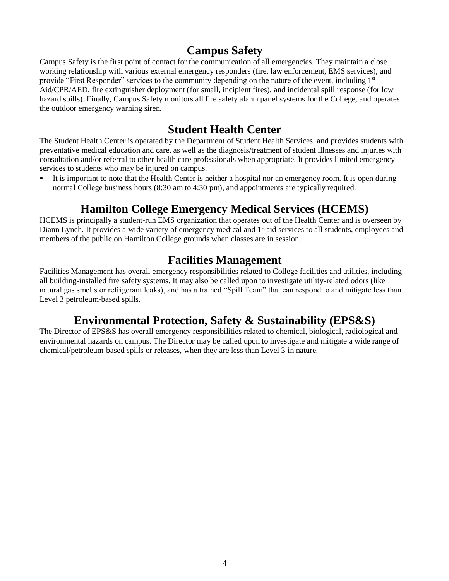#### **Campus Safety**

Campus Safety is the first point of contact for the communication of all emergencies. They maintain a close working relationship with various external emergency responders (fire, law enforcement, EMS services), and provide "First Responder" services to the community depending on the nature of the event, including 1<sup>st</sup> Aid/CPR/AED, fire extinguisher deployment (for small, incipient fires), and incidental spill response (for low hazard spills). Finally, Campus Safety monitors all fire safety alarm panel systems for the College, and operates the outdoor emergency warning siren.

#### **Student Health Center**

The Student Health Center is operated by the Department of Student Health Services, and provides students with preventative medical education and care, as well as the diagnosis/treatment of student illnesses and injuries with consultation and/or referral to other health care professionals when appropriate. It provides limited emergency services to students who may be injured on campus.

It is important to note that the Health Center is neither a hospital nor an emergency room. It is open during normal College business hours (8:30 am to 4:30 pm), and appointments are typically required.

#### **Hamilton College Emergency Medical Services (HCEMS)**

HCEMS is principally a student-run EMS organization that operates out of the Health Center and is overseen by Diann Lynch. It provides a wide variety of emergency medical and 1<sup>st</sup> aid services to all students, employees and members of the public on Hamilton College grounds when classes are in session.

#### **Facilities Management**

Facilities Management has overall emergency responsibilities related to College facilities and utilities, including all building-installed fire safety systems. It may also be called upon to investigate utility-related odors (like natural gas smells or refrigerant leaks), and has a trained "Spill Team" that can respond to and mitigate less than Level 3 petroleum-based spills.

#### **Environmental Protection, Safety & Sustainability (EPS&S)**

The Director of EPS&S has overall emergency responsibilities related to chemical, biological, radiological and environmental hazards on campus. The Director may be called upon to investigate and mitigate a wide range of chemical/petroleum-based spills or releases, when they are less than Level 3 in nature.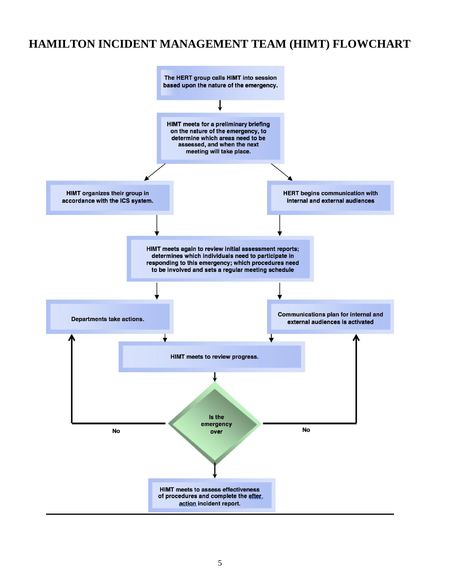#### **HAMILTON INCIDENT MANAGEMENT TEAM (HIMT) FLOWCHART**

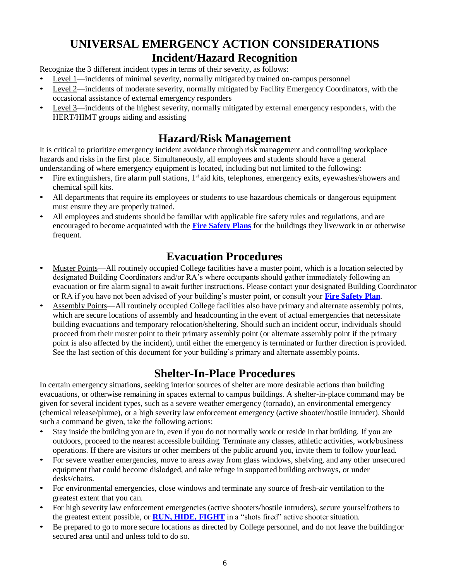#### **UNIVERSAL EMERGENCY ACTION CONSIDERATIONS Incident/Hazard Recognition**

Recognize the 3 different incident types in terms of their severity, as follows:

- Level 1—incidents of minimal severity, normally mitigated by trained on-campus personnel
- Level 2—incidents of moderate severity, normally mitigated by Facility Emergency Coordinators, with the occasional assistance of external emergency responders
- Level 3—incidents of the highest severity, normally mitigated by external emergency responders, with the HERT/HIMT groups aiding and assisting

#### **Hazard/Risk Management**

It is critical to prioritize emergency incident avoidance through risk management and controlling workplace hazards and risks in the first place. Simultaneously, all employees and students should have a general understanding of where emergency equipment is located, including but not limited to the following:

- Fire extinguishers, fire alarm pull stations, 1<sup>st</sup> aid kits, telephones, emergency exits, eyewashes/showers and chemical spill kits.
- All departments that require its employees or students to use hazardous chemicals or dangerous equipment must ensure they are properly trained.
- All employees and students should be familiar with applicable fire safety rules and regulations, and are encouraged to become acquainted with the **[Fire Safety Plans](https://my.hamilton.edu/fire-safety-plans)** for the buildings they live/work in or otherwise frequent.

### **Evacuation Procedures**

- Muster Points—All routinely occupied College facilities have a muster point, which is a location selected by designated Building Coordinators and/or RA's where occupants should gather immediately following an evacuation or fire alarm signal to await further instructions. Please contact your designated Building Coordinator or RA if you have not been advised of your building's muster point, or consult your **[Fire Safety](https://my.hamilton.edu/fire-safety-plans) [Plan](https://my.hamilton.edu/fire-safety-plans)**.
- Assembly Points—All routinely occupied College facilities also have primary and alternate assembly points, which are secure locations of assembly and headcounting in the event of actual emergencies that necessitate building evacuations and temporary relocation/sheltering. Should such an incident occur, individuals should proceed from their muster point to their primary assembly point (or alternate assembly point if the primary point is also affected by the incident), until either the emergency is terminated or further direction is provided. See the last section of this document for your building's primary and alternate assembly points.

## **Shelter-In-Place Procedures**

In certain emergency situations, seeking interior sources of shelter are more desirable actions than building evacuations, or otherwise remaining in spaces external to campus buildings. A shelter-in-place command may be given for several incident types, such as a severe weather emergency (tornado), an environmental emergency (chemical release/plume), or a high severity law enforcement emergency (active shooter/hostile intruder). Should such a command be given, take the following actions:

- Stay inside the building you are in, even if you do not normally work or reside in that building. If you are outdoors, proceed to the nearest accessible building. Terminate any classes, athletic activities, work/business operations. If there are visitors or other members of the public around you, invite them to follow yourlead.
- For severe weather emergencies, move to areas away from glass windows, shelving, and any other unsecured equipment that could become dislodged, and take refuge in supported building archways, or under desks/chairs.
- For environmental emergencies, close windows and terminate any source of fresh-air ventilation to the greatest extent that you can.
- For high severity law enforcement emergencies (active shooters/hostile intruders), secure yourself/others to the greatest extent possible, or **[RUN, HIDE, FIGHT](https://www.youtube.com/watch?v=9Z9zkU--FLQ)** in a "shots fired" active shooter situation.
- Be prepared to go to more secure locations as directed by College personnel, and do not leave the building or secured area until and unless told to do so.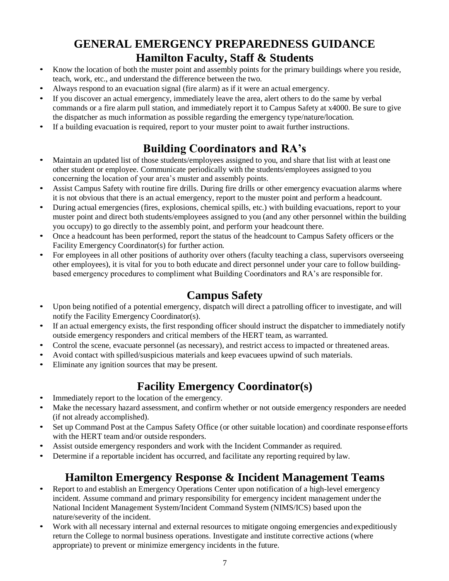## **GENERAL EMERGENCY PREPAREDNESS GUIDANCE Hamilton Faculty, Staff & Students**

- Know the location of both the muster point and assembly points for the primary buildings where you reside, teach, work, etc., and understand the difference between the two.
- Always respond to an evacuation signal (fire alarm) as if it were an actual emergency.
- If you discover an actual emergency, immediately leave the area, alert others to do the same by verbal commands or a fire alarm pull station, and immediately report it to Campus Safety at x4000. Be sure to give the dispatcher as much information as possible regarding the emergency type/nature/location.
- If a building evacuation is required, report to your muster point to await further instructions.

## **Building Coordinators and RA's**

- Maintain an updated list of those students/employees assigned to you, and share that list with at least one other student or employee. Communicate periodically with the students/employees assigned to you concerning the location of your area's muster and assembly points.
- Assist Campus Safety with routine fire drills. During fire drills or other emergency evacuation alarms where it is not obvious that there is an actual emergency, report to the muster point and perform a headcount.
- During actual emergencies (fires, explosions, chemical spills, etc.) with building evacuations, report to your muster point and direct both students/employees assigned to you (and any other personnel within the building you occupy) to go directly to the assembly point*,* and perform your headcount there.
- Once a headcount has been performed, report the status of the headcount to Campus Safety officers or the Facility Emergency Coordinator(s) for further action.
- For employees in all other positions of authority over others (faculty teaching a class, supervisors overseeing other employees), it is vital for you to both educate and direct personnel under your care to follow buildingbased emergency procedures to compliment what Building Coordinators and RA's are responsible for.

## **Campus Safety**

- Upon being notified of a potential emergency, dispatch will direct a patrolling officer to investigate, and will notify the Facility Emergency Coordinator(s).
- If an actual emergency exists, the first responding officer should instruct the dispatcher to immediately notify outside emergency responders and critical members of the HERT team, as warranted.
- Control the scene, evacuate personnel (as necessary), and restrict access to impacted or threatened areas.
- Avoid contact with spilled/suspicious materials and keep evacuees upwind of such materials.
- Eliminate any ignition sources that may be present.

## **Facility Emergency Coordinator(s)**

- Immediately report to the location of the emergency.
- Make the necessary hazard assessment, and confirm whether or not outside emergency responders are needed (if not already accomplished).
- Set up Command Post at the Campus Safety Office (or other suitable location) and coordinate response efforts with the HERT team and/or outside responders.
- Assist outside emergency responders and work with the Incident Commander as required.
- Determine if a reportable incident has occurred, and facilitate any reporting required by law.

## **Hamilton Emergency Response & Incident Management Teams**

- Report to and establish an Emergency Operations Center upon notification of a high-level emergency incident. Assume command and primary responsibility for emergency incident management underthe National Incident Management System/Incident Command System (NIMS/ICS) based upon the nature/severity of the incident.
- Work with all necessary internal and external resources to mitigate ongoing emergencies and expeditiously return the College to normal business operations. Investigate and institute corrective actions (where appropriate) to prevent or minimize emergency incidents in the future.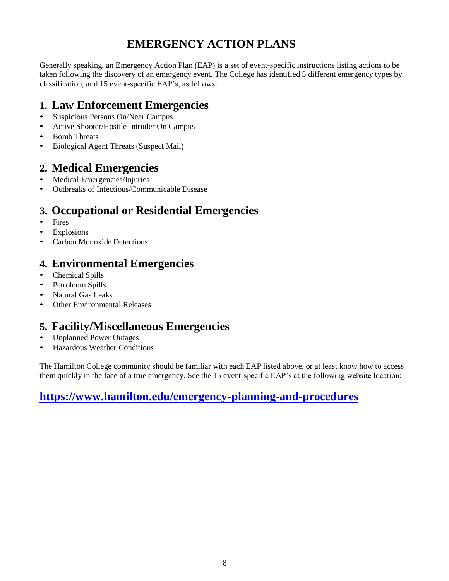## **EMERGENCY ACTION PLANS**

Generally speaking, an Emergency Action Plan (EAP) is a set of event-specific instructions listing actions to be taken following the discovery of an emergency event. The College has identified 5 different emergency types by classification, and 15 event-specific EAP's, as follows:

#### **1. Law Enforcement Emergencies**

- Suspicious Persons On/Near Campus
- Active Shooter/Hostile Intruder On Campus
- Bomb Threats
- Biological Agent Threats (Suspect Mail)

#### **2. Medical Emergencies**

- Medical Emergencies/Injuries
- Outbreaks of Infectious/Communicable Disease

#### **3. Occupational or Residential Emergencies**

- Fires
- **Explosions**
- Carbon Monoxide Detections

#### **4. Environmental Emergencies**

- Chemical Spills
- Petroleum Spills
- Natural Gas Leaks
- Other Environmental Releases

#### **5. Facility/Miscellaneous Emergencies**

- Unplanned Power Outages
- Hazardous Weather Conditions

The Hamilton College community should be familiar with each EAP listed above, or at least know how to access them quickly in the face of a true emergency. See the 15 event-specific EAP's at the following website location:

#### **[https://www.hamilton.edu/emergency-planning-and-procedures](https://www.hamilton.edu/emergency-planning-and-procedures/emergency-planning-and-procedures)**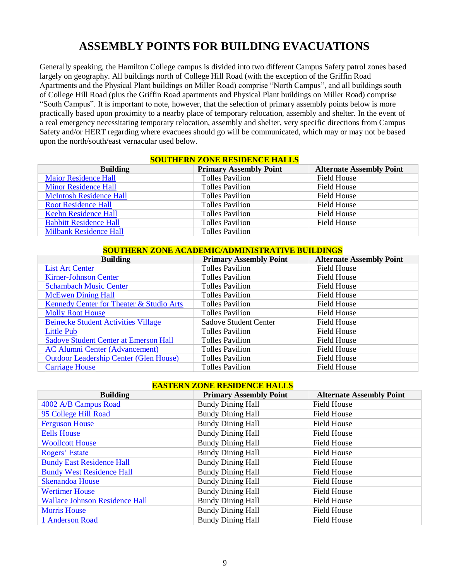#### **ASSEMBLY POINTS FOR BUILDING EVACUATIONS**

Generally speaking, the Hamilton College campus is divided into two different Campus Safety patrol zones based largely on geography. All buildings north of College Hill Road (with the exception of the Griffin Road Apartments and the Physical Plant buildings on Miller Road) comprise "North Campus", and all buildings south of College Hill Road (plus the Griffin Road apartments and Physical Plant buildings on Miller Road) comprise "South Campus". It is important to note, however, that the selection of primary assembly points below is more practically based upon proximity to a nearby place of temporary relocation, assembly and shelter. In the event of a real emergency necessitating temporary relocation, assembly and shelter, very specific directions from Campus Safety and/or HERT regarding where evacuees should go will be communicated, which may or may not be based upon the north/south/east vernacular used below.

| <u>SUUTHERN ZUNE RESIDENCE HALLS</u> |                               |                                 |
|--------------------------------------|-------------------------------|---------------------------------|
| <b>Building</b>                      | <b>Primary Assembly Point</b> | <b>Alternate Assembly Point</b> |
| Major Residence Hall                 | <b>Tolles Pavilion</b>        | Field House                     |
| <b>Minor Residence Hall</b>          | <b>Tolles Pavilion</b>        | Field House                     |
| <b>McIntosh Residence Hall</b>       | <b>Tolles Pavilion</b>        | Field House                     |
| <b>Root Residence Hall</b>           | <b>Tolles Pavilion</b>        | Field House                     |
| <b>Keehn Residence Hall</b>          | <b>Tolles Pavilion</b>        | Field House                     |
| <b>Babbitt Residence Hall</b>        | <b>Tolles Pavilion</b>        | Field House                     |
| <b>Milbank Residence Hall</b>        | <b>Tolles Pavilion</b>        |                                 |

#### **SOUTHERN ZONE DESIDENCE HALLS**

#### **SOUTHERN ZONE ACADEMIC/ADMINISTRATIVE BUILDINGS**

| <b>Building</b>                               | <b>Primary Assembly Point</b> | <b>Alternate Assembly Point</b> |
|-----------------------------------------------|-------------------------------|---------------------------------|
| <b>List Art Center</b>                        | <b>Tolles Pavilion</b>        | <b>Field House</b>              |
| <b>Kirner-Johnson Center</b>                  | <b>Tolles Pavilion</b>        | Field House                     |
| <b>Schambach Music Center</b>                 | <b>Tolles Pavilion</b>        | Field House                     |
| <b>McEwen Dining Hall</b>                     | <b>Tolles Pavilion</b>        | Field House                     |
| Kennedy Center for Theater & Studio Arts      | <b>Tolles Pavilion</b>        | Field House                     |
| <b>Molly Root House</b>                       | <b>Tolles Pavilion</b>        | Field House                     |
| <b>Beinecke Student Activities Village</b>    | <b>Sadove Student Center</b>  | Field House                     |
| Little Pub                                    | <b>Tolles Pavilion</b>        | <b>Field House</b>              |
| <b>Sadove Student Center at Emerson Hall</b>  | <b>Tolles Pavilion</b>        | Field House                     |
| <b>AC Alumni Center (Advancement)</b>         | <b>Tolles Pavilion</b>        | Field House                     |
| <b>Outdoor Leadership Center (Glen House)</b> | <b>Tolles Pavilion</b>        | Field House                     |
| <b>Carriage House</b>                         | <b>Tolles Pavilion</b>        | Field House                     |

#### **EASTERN ZONE RESIDENCE HALLS**

| <b>Building</b>                       | <b>Primary Assembly Point</b> | <b>Alternate Assembly Point</b> |
|---------------------------------------|-------------------------------|---------------------------------|
| 4002 A/B Campus Road                  | <b>Bundy Dining Hall</b>      | <b>Field House</b>              |
| 95 College Hill Road                  | <b>Bundy Dining Hall</b>      | Field House                     |
| <b>Ferguson House</b>                 | <b>Bundy Dining Hall</b>      | Field House                     |
| <b>Eells House</b>                    | <b>Bundy Dining Hall</b>      | <b>Field House</b>              |
| <b>Woollcott House</b>                | <b>Bundy Dining Hall</b>      | <b>Field House</b>              |
| Rogers' Estate                        | <b>Bundy Dining Hall</b>      | Field House                     |
| <b>Bundy East Residence Hall</b>      | <b>Bundy Dining Hall</b>      | <b>Field House</b>              |
| <b>Bundy West Residence Hall</b>      | <b>Bundy Dining Hall</b>      | Field House                     |
| <b>Skenandoa House</b>                | <b>Bundy Dining Hall</b>      | Field House                     |
| <b>Wertimer House</b>                 | <b>Bundy Dining Hall</b>      | <b>Field House</b>              |
| <b>Wallace Johnson Residence Hall</b> | <b>Bundy Dining Hall</b>      | Field House                     |
| <b>Morris House</b>                   | <b>Bundy Dining Hall</b>      | Field House                     |
| 1 Anderson Road                       | <b>Bundy Dining Hall</b>      | <b>Field House</b>              |